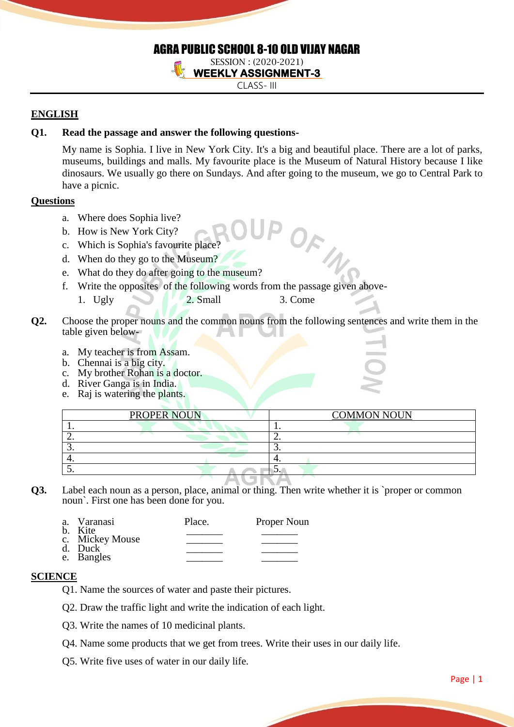## AGRA PUBLIC SCHOOL 8-10 OLD VIJAY NAGAR SESSION : (2020-2021)

**WEEKLY ASSIGNMENT-3** 

CLASS- III

# **ENGLISH**

# **Q1. Read the passage and answer the following questions-**

My name is Sophia. I live in New York City. It's a big and beautiful place. There are a lot of parks, museums, buildings and malls. My favourite place is the Museum of Natural History because I like dinosaurs. We usually go there on Sundays. And after going to the museum, we go to Central Park to have a picnic.

OFW

## **Questions**

- a. Where does Sophia live?
- b. How is New York City?
- c. Which is Sophia's favourite place?
- d. When do they go to the Museum?
- e. What do they do after going to the museum?
- f. Write the opposites of the following words from the passage given above-
- 1. Ugly 2. Small 3. Come
- **Q2.** Choose the proper nouns and the common nouns from the following sentences and write them in the table given below
	- a. My teacher is from Assam.
	- b. Chennai is a big city.
	- c. My brother Rohan is a doctor.
	- d. River Ganga is in India.
	- e. Raj is watering the plants.

|          | <b>PROPER NOUN</b> | <b>COMMON NOUN</b> |
|----------|--------------------|--------------------|
|          |                    |                    |
| <u>_</u> |                    |                    |
|          |                    | <u>.</u>           |
|          |                    |                    |
|          |                    |                    |

**UIVF Q3.** Label each noun as a person, place, animal or thing. Then write whether it is `proper or common noun`. First one has been done for you.

| a. Varanasi<br>b. Kite     | Place. | Proper Noun |
|----------------------------|--------|-------------|
|                            |        |             |
| c. Mickey Mouse<br>d. Duck |        |             |
| e. Bangles                 |        |             |

#### **SCIENCE**

- Q1. Name the sources of water and paste their pictures.
- Q2. Draw the traffic light and write the indication of each light.
- Q3. Write the names of 10 medicinal plants.
- Q4. Name some products that we get from trees. Write their uses in our daily life.
- Q5. Write five uses of water in our daily life.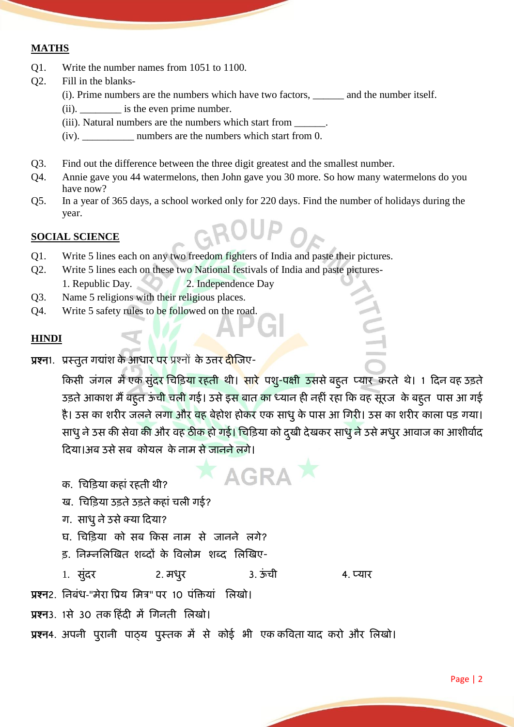# **MATHS**

- Q1. Write the number names from 1051 to 1100.
- Q2. Fill in the blanks-
	- (i). Prime numbers are the numbers which have two factors, \_\_\_\_\_\_ and the number itself.
	- (ii). \_\_\_\_\_\_\_\_ is the even prime number.
	- (iii). Natural numbers are the numbers which start from \_\_\_\_\_\_.
	- (iv). \_\_\_\_\_\_\_\_\_\_ numbers are the numbers which start from 0.
- Q3. Find out the difference between the three digit greatest and the smallest number.
- Q4. Annie gave you 44 watermelons, then John gave you 30 more. So how many watermelons do you have now?
- Q5. In a year of 365 days, a school worked only for 220 days. Find the number of holidays during the year.

#### **SOCIAL SCIENCE**

- Q1. Write 5 lines each on any two freedom fighters of India and paste their pictures.
- Q2. Write 5 lines each on these two National festivals of India and paste pictures-1. Republic Day. 2. Independence Day
- Q3. Name 5 religions with their religious places.
- Q4. Write 5 safety rules to be followed on the road.

#### **HINDI**

प्रश्न1. प्रस्तुत गद्यांश के आधार पर प्रश्नों के उत्तर दीजिए-

किसी जंगल में एक सुंदर चिड़िया रहती थी। सारे पशु-पक्षी उससे बहुत प्यार करते थे। 1 दिन वह उड़ते उड़ते आकाश मैं बहुत ऊंची चली गई। उसे इस बात का ध्यान ही नहीं रहा कि वह सूरज के बहुत पास आ गई है। उस का शरीर जलने लगा और वह बेहोश होकर एक साधु के पास आ गिरी। उस का शरीर काला पड़ गया। साधु ने उस की सेवा की और वह ठीक हो गई। चिड़िया को दुखी देखकर साधु ने उसे मधुर आवाज का आशीर्वाद दिया।अब उसे सब कोयल के नाम से जानने लगे।

**AGRA** 

HUTI

- क. चिक़ियय कहयांरहती थी?
- ख. चिडिया उड़ते उड़ते कहां चली गई?
- ग. साधु ने उसे क्या दिया?
- घ. चिड़िया को सब किस नाम से जानने लगे?
- ड, निम्नलिखित शब्दों के विलोम शब्द लिखिए-

1. सुंदर 2. मधुर 3. ऊंची 4. प्यार

प्रश्न2. निबंध-"मेरा प्रिय मित्र" पर 10 पंक्तियां विखो।

प्रश्न3. 1से 30 तक हिंदी में गिनती लिखो।

प्रश्न4. अपनी पुरानी पाठ्य पुस्तक में से कोई भी एक कविता याद करो और लिखो।